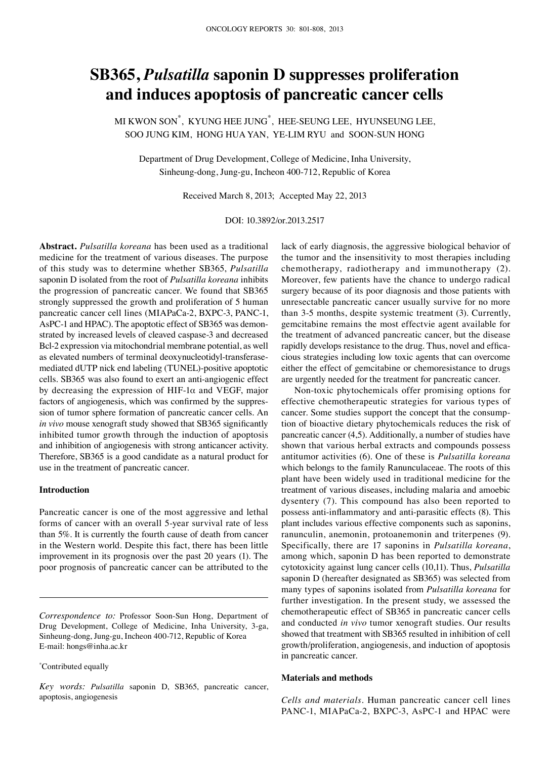# **SB365,** *Pulsatilla* **saponin D suppresses proliferation and induces apoptosis of pancreatic cancer cells**

MI KWON SON\* , KYUNG HEE JUNG\* , HEE-SEUNG LEE, HYUNSEUNG LEE, SOO JUNG KIM, HONG HUA YAN, YE-LIM RYU and SOON-SUN HONG

Department of Drug Development, College of Medicine, Inha University, Sinheung-dong, Jung-gu, Incheon 400-712, Republic of Korea

Received March 8, 2013; Accepted May 22, 2013

DOI: 10.3892/or.2013.2517

**Abstract.** *Pulsatilla koreana* has been used as a traditional medicine for the treatment of various diseases. The purpose of this study was to determine whether SB365, *Pulsatilla* saponin D isolated from the root of *Pulsatilla koreana* inhibits the progression of pancreatic cancer. We found that SB365 strongly suppressed the growth and proliferation of 5 human pancreatic cancer cell lines (MIAPaCa-2, BXPC-3, PANC-1, AsPC-1 and HPAC). The apoptotic effect of SB365 was demonstrated by increased levels of cleaved caspase-3 and decreased Bcl-2 expression via mitochondrial membrane potential, as well as elevated numbers of terminal deoxynucleotidyl-transferasemediated dUTP nick end labeling (TUNEL)-positive apoptotic cells. SB365 was also found to exert an anti-angiogenic effect by decreasing the expression of HIF-1 $\alpha$  and VEGF, major factors of angiogenesis, which was confirmed by the suppression of tumor sphere formation of pancreatic cancer cells. An *in vivo* mouse xenograft study showed that SB365 significantly inhibited tumor growth through the induction of apoptosis and inhibition of angiogenesis with strong anticancer activity. Therefore, SB365 is a good candidate as a natural product for use in the treatment of pancreatic cancer.

#### **Introduction**

Pancreatic cancer is one of the most aggressive and lethal forms of cancer with an overall 5-year survival rate of less than 5%. It is currently the fourth cause of death from cancer in the Western world. Despite this fact, there has been little improvement in its prognosis over the past 20 years (1). The poor prognosis of pancreatic cancer can be attributed to the

\* Contributed equally

lack of early diagnosis, the aggressive biological behavior of the tumor and the insensitivity to most therapies including chemotherapy, radiotherapy and immunotherapy (2). Moreover, few patients have the chance to undergo radical surgery because of its poor diagnosis and those patients with unresectable pancreatic cancer usually survive for no more than 3-5 months, despite systemic treatment (3). Currently, gemcitabine remains the most effectvie agent available for the treatment of advanced pancreatic cancer, but the disease rapidly develops resistance to the drug. Thus, novel and efficacious strategies including low toxic agents that can overcome either the effect of gemcitabine or chemoresistance to drugs are urgently needed for the treatment for pancreatic cancer.

Non-toxic phytochemicals offer promising options for effective chemotherapeutic strategies for various types of cancer. Some studies support the concept that the consumption of bioactive dietary phytochemicals reduces the risk of pancreatic cancer (4,5). Additionally, a number of studies have shown that various herbal extracts and compounds possess antitumor activities (6). One of these is *Pulsatilla koreana* which belongs to the family Ranunculaceae. The roots of this plant have been widely used in traditional medicine for the treatment of various diseases, including malaria and amoebic dysentery (7). This compound has also been reported to possess anti-inflammatory and anti-parasitic effects (8). This plant includes various effective components such as saponins, ranunculin, anemonin, protoanemonin and triterpenes (9). Specifically, there are 17 saponins in *Pulsatilla koreana*, among which, saponin D has been reported to demonstrate cytotoxicity against lung cancer cells (10,11). Thus, *Pulsatilla* saponin D (hereafter designated as SB365) was selected from many types of saponins isolated from *Pulsatilla koreana* for further investigation. In the present study, we assessed the chemotherapeutic effect of SB365 in pancreatic cancer cells and conducted *in vivo* tumor xenograft studies. Our results showed that treatment with SB365 resulted in inhibition of cell growth/proliferation, angiogenesis, and induction of apoptosis in pancreatic cancer.

### **Materials and methods**

*Cells and materials.* Human pancreatic cancer cell lines PANC-1, MIAPaCa-2, BXPC-3, AsPC-1 and HPAC were

*Correspondence to:* Professor Soon-Sun Hong, Department of Drug Development, College of Medicine, Inha University, 3-ga, Sinheung-dong, Jung-gu, Incheon 400-712, Republic of Korea E-mail: hongs@inha.ac.kr

*Key words: Pulsatilla* saponin D, SB365, pancreatic cancer, apoptosis, angiogenesis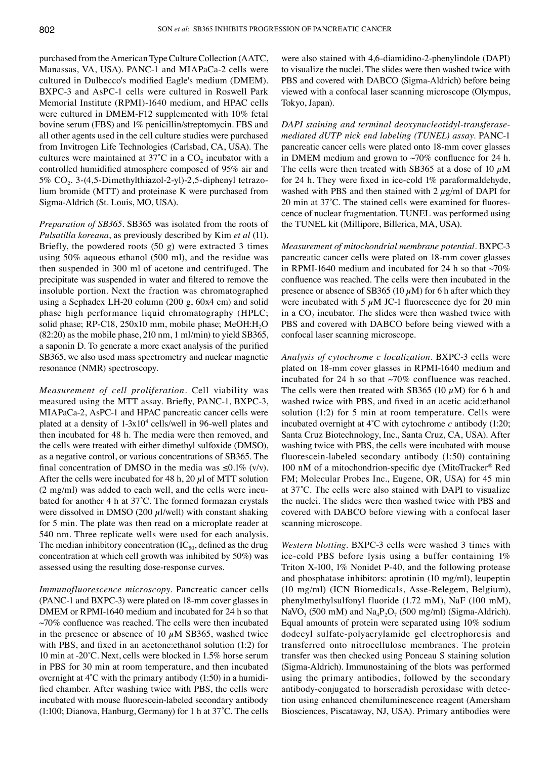purchased from the American Type Culture Collection (AATC, Manassas, VA, USA). PANC-1 and MIAPaCa-2 cells were cultured in Dulbecco's modified Eagle's medium (DMEM). BXPC-3 and AsPC-1 cells were cultured in Roswell Park Memorial Institute (RPMI)-1640 medium, and HPAC cells were cultured in DMEM-F12 supplemented with 10% fetal bovine serum (FBS) and 1% penicillin/streptomycin. FBS and all other agents used in the cell culture studies were purchased from Invitrogen Life Technologies (Carlsbad, CA, USA). The cultures were maintained at  $37^{\circ}$ C in a CO<sub>2</sub> incubator with a controlled humidified atmosphere composed of 95% air and 5% CO<sub>2</sub>. 3-(4,5-Dimethylthiazol-2-yl)-2,5-diphenyl tetrazolium bromide (MTT) and proteinase K were purchased from Sigma-Aldrich (St. Louis, MO, USA).

*Preparation of SB365.* SB365 was isolated from the roots of *Pulsatilla koreana*, as previously described by Kim *et al* (11). Briefly, the powdered roots (50 g) were extracted 3 times using 50% aqueous ethanol (500 ml), and the residue was then suspended in 300 ml of acetone and centrifuged. The precipitate was suspended in water and filtered to remove the insoluble portion. Next the fraction was chromatographed using a Sephadex LH-20 column (200 g, 60x4 cm) and solid phase high performance liquid chromatography (HPLC; solid phase; RP-C18, 250x10 mm, mobile phase; MeOH:H<sub>2</sub>O (82:20) as the mobile phase, 210 nm, 1 ml/min) to yield SB365, a saponin D. To generate a more exact analysis of the purified SB365, we also used mass spectrometry and nuclear magnetic resonance (NMR) spectroscopy.

*Measurement of cell proliferation.* Cell viability was measured using the MTT assay. Briefly, PANC-1, BXPC-3, MIAPaCa-2, AsPC-1 and HPAC pancreatic cancer cells were plated at a density of 1-3x104 cells/well in 96-well plates and then incubated for 48 h. The media were then removed, and the cells were treated with either dimethyl sulfoxide (DMSO), as a negative control, or various concentrations of SB365. The final concentration of DMSO in the media was  $\leq 0.1\%$  (v/v). After the cells were incubated for 48 h, 20  $\mu$ l of MTT solution (2 mg/ml) was added to each well, and the cells were incubated for another 4 h at 37˚C. The formed formazan crystals were dissolved in DMSO (200  $\mu$ l/well) with constant shaking for 5 min. The plate was then read on a microplate reader at 540 nm. Three replicate wells were used for each analysis. The median inhibitory concentration  $(IC_{50}$ , defined as the drug concentration at which cell growth was inhibited by 50%) was assessed using the resulting dose-response curves.

*Immunofluorescence microscopy.* Pancreatic cancer cells (PANC-1 and BXPC-3) were plated on 18-mm cover glasses in DMEM or RPMI-1640 medium and incubated for 24 h so that  $~10\%$  confluence was reached. The cells were then incubated in the presence or absence of 10  $\mu$ M SB365, washed twice with PBS, and fixed in an acetone:ethanol solution (1:2) for 10 min at -20˚C. Next, cells were blocked in 1.5% horse serum in PBS for 30 min at room temperature, and then incubated overnight at 4˚C with the primary antibody (1:50) in a humidified chamber. After washing twice with PBS, the cells were incubated with mouse fluorescein-labeled secondary antibody (1:100; Dianova, Hanburg, Germany) for 1 h at 37˚C. The cells were also stained with 4,6-diamidino-2-phenylindole (DAPI) to visualize the nuclei. The slides were then washed twice with PBS and covered with DABCO (Sigma-Aldrich) before being viewed with a confocal laser scanning microscope (Olympus, Tokyo, Japan).

*DAPI staining and terminal deoxynucleotidyl-transferasemediated dUTP nick end labeling (TUNEL) assay.* PANC-1 pancreatic cancer cells were plated onto 18-mm cover glasses in DMEM medium and grown to  $\sim$ 70% confluence for 24 h. The cells were then treated with SB365 at a dose of 10  $\mu$ M for 24 h. They were fixed in ice-cold 1% paraformaldehyde, washed with PBS and then stained with  $2 \mu g/ml$  of DAPI for 20 min at 37˚C. The stained cells were examined for fluorescence of nuclear fragmentation. TUNEL was performed using the TUNEL kit (Millipore, Billerica, MA, USA).

*Measurement of mitochondrial membrane potential.* BXPC-3 pancreatic cancer cells were plated on 18-mm cover glasses in RPMI-1640 medium and incubated for 24 h so that  $\sim 70\%$ confluence was reached. The cells were then incubated in the presence or absence of SB365 (10  $\mu$ M) for 6 h after which they were incubated with 5  $\mu$ M JC-1 fluorescence dye for 20 min in a  $CO<sub>2</sub>$  incubator. The slides were then washed twice with PBS and covered with DABCO before being viewed with a confocal laser scanning microscope.

*Analysis of cytochrome c localization.* BXPC-3 cells were plated on 18-mm cover glasses in RPMI-1640 medium and incubated for 24 h so that  $\sim$ 70% confluence was reached. The cells were then treated with SB365 (10  $\mu$ M) for 6 h and washed twice with PBS, and fixed in an acetic acid:ethanol solution (1:2) for 5 min at room temperature. Cells were incubated overnight at 4˚C with cytochrome *c* antibody (1:20; Santa Cruz Biotechnology, Inc., Santa Cruz, CA, USA). After washing twice with PBS, the cells were incubated with mouse fluorescein-labeled secondary antibody (1:50) containing 100 nM of a mitochondrion-specific dye (MitoTracker® Red FM; Molecular Probes Inc., Eugene, OR, USA) for 45 min at 37˚C. The cells were also stained with DAPI to visualize the nuclei. The slides were then washed twice with PBS and covered with DABCO before viewing with a confocal laser scanning microscope.

*Western blotting.* BXPC-3 cells were washed 3 times with ice-cold PBS before lysis using a buffer containing 1% Triton X-100, 1% Nonidet P-40, and the following protease and phosphatase inhibitors: aprotinin (10 mg/ml), leupeptin (10 mg/ml) (ICN Biomedicals, Asse-Relegem, Belgium), phenylmethylsulfonyl fluoride (1.72 mM), NaF (100 mM), NaVO<sub>3</sub> (500 mM) and Na<sub>4</sub>P<sub>2</sub>O<sub>7</sub> (500 mg/ml) (Sigma-Aldrich). Equal amounts of protein were separated using 10% sodium dodecyl sulfate-polyacrylamide gel electrophoresis and transferred onto nitrocellulose membranes. The protein transfer was then checked using Ponceau S staining solution (Sigma-Aldrich). Immunostaining of the blots was performed using the primary antibodies, followed by the secondary antibody-conjugated to horseradish peroxidase with detection using enhanced chemiluminescence reagent (Amersham Biosciences, Piscataway, NJ, USA). Primary antibodies were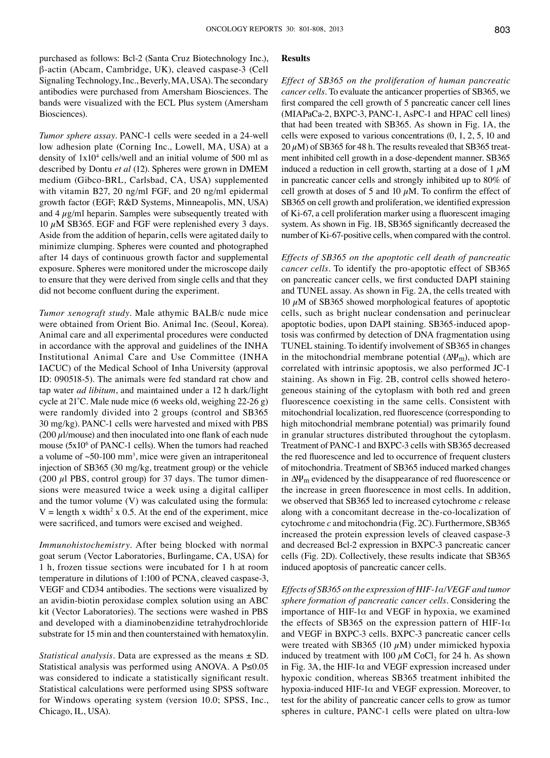purchased as follows: Bcl-2 (Santa Cruz Biotechnology Inc.), β-actin (Abcam, Cambridge, UK), cleaved caspase-3 (Cell Signaling Technology, Inc., Beverly, MA, USA). The secondary antibodies were purchased from Amersham Biosciences. The bands were visualized with the ECL Plus system (Amersham Biosciences).

*Tumor sphere assay.* PANC-1 cells were seeded in a 24-well low adhesion plate (Corning Inc., Lowell, MA, USA) at a density of  $1x10^4$  cells/well and an initial volume of 500 ml as described by Dontu *et al* (12). Spheres were grown in DMEM medium (Gibco-BRL, Carlsbad, CA, USA) supplemented with vitamin B27, 20 ng/ml FGF, and 20 ng/ml epidermal growth factor (EGF; R&D Systems, Minneapolis, MN, USA) and  $4 \mu g/ml$  heparin. Samples were subsequently treated with 10  $\mu$ M SB365. EGF and FGF were replenished every 3 days. Aside from the addition of heparin, cells were agitated daily to minimize clumping. Spheres were counted and photographed after 14 days of continuous growth factor and supplemental exposure. Spheres were monitored under the microscope daily to ensure that they were derived from single cells and that they did not become confluent during the experiment.

*Tumor xenograft study.* Male athymic BALB/c nude mice were obtained from Orient Bio. Animal Inc. (Seoul, Korea). Animal care and all experimental procedures were conducted in accordance with the approval and guidelines of the INHA Institutional Animal Care and Use Committee (INHA IACUC) of the Medical School of Inha University (approval ID: 090518-5). The animals were fed standard rat chow and tap water *ad libitum*, and maintained under a 12 h dark/light cycle at 21˚C. Male nude mice (6 weeks old, weighing 22-26 g) were randomly divided into 2 groups (control and SB365 30 mg/kg). PANC-1 cells were harvested and mixed with PBS  $(200 \mu l/mouse)$  and then inoculated into one flank of each nude mouse (5x10<sup>6</sup> of PANC-1 cells). When the tumors had reached a volume of  $\sim$ 50-100 mm<sup>3</sup>, mice were given an intraperitoneal injection of SB365 (30 mg/kg, treatment group) or the vehicle (200  $\mu$ l PBS, control group) for 37 days. The tumor dimensions were measured twice a week using a digital calliper and the tumor volume (V) was calculated using the formula:  $V =$  length x width<sup>2</sup> x 0.5. At the end of the experiment, mice were sacrificed, and tumors were excised and weighed.

*Immunohistochemistry.* After being blocked with normal goat serum (Vector Laboratories, Burlingame, CA, USA) for 1 h, frozen tissue sections were incubated for 1 h at room temperature in dilutions of 1:100 of PCNA, cleaved caspase-3, VEGF and CD34 antibodies. The sections were visualized by an avidin-biotin peroxidase complex solution using an ABC kit (Vector Laboratories). The sections were washed in PBS and developed with a diaminobenzidine tetrahydrochloride substrate for 15 min and then counterstained with hematoxylin.

*Statistical analysis.* Data are expressed as the means ± SD. Statistical analysis was performed using ANOVA. A P≤0.05 was considered to indicate a statistically significant result. Statistical calculations were performed using SPSS software for Windows operating system (version 10.0; SPSS, Inc., Chicago, IL, USA).

### **Results**

*Effect of SB365 on the proliferation of human pancreatic cancer cells.* To evaluate the anticancer properties of SB365, we first compared the cell growth of 5 pancreatic cancer cell lines (MIAPaCa-2, BXPC-3, PANC-1, AsPC-1 and HPAC cell lines) that had been treated with SB365. As shown in Fig. 1A, the cells were exposed to various concentrations (0, 1, 2, 5, 10 and  $20 \mu$ M) of SB365 for 48 h. The results revealed that SB365 treatment inhibited cell growth in a dose-dependent manner. SB365 induced a reduction in cell growth, starting at a dose of  $1 \mu$ M in pancreatic cancer cells and strongly inhibited up to 80% of cell growth at doses of 5 and 10  $\mu$ M. To confirm the effect of SB365 on cell growth and proliferation, we identified expression of Ki-67, a cell proliferation marker using a fluorescent imaging system. As shown in Fig. 1B, SB365 significantly decreased the number of Ki-67-positive cells, when compared with the control.

*Effects of SB365 on the apoptotic cell death of pancreatic cancer cells.* To identify the pro-apoptotic effect of SB365 on pancreatic cancer cells, we first conducted DAPI staining and TUNEL assay. As shown in Fig. 2A, the cells treated with 10  $\mu$ M of SB365 showed morphological features of apoptotic cells, such as bright nuclear condensation and perinuclear apoptotic bodies, upon DAPI staining. SB365-induced apoptosis was confirmed by detection of DNA fragmentation using TUNEL staining. To identify involvement of SB365 in changes in the mitochondrial membrane potential  $(\Delta \Psi_m)$ , which are correlated with intrinsic apoptosis, we also performed JC-1 staining. As shown in Fig. 2B, control cells showed heterogeneous staining of the cytoplasm with both red and green fluorescence coexisting in the same cells. Consistent with mitochondrial localization, red fluorescence (corresponding to high mitochondrial membrane potential) was primarily found in granular structures distributed throughout the cytoplasm. Treatment of PANC-1 and BXPC-3 cells with SB365 decreased the red fluorescence and led to occurrence of frequent clusters of mitochondria. Treatment of SB365 induced marked changes in ∆Ψm evidenced by the disappearance of red fluorescence or the increase in green fluorescence in most cells. In addition, we observed that SB365 led to increased cytochrome *c* release along with a concomitant decrease in the-co-localization of cytochrome *c* and mitochondria (Fig. 2C). Furthermore, SB365 increased the protein expression levels of cleaved caspase-3 and decreased Bcl-2 expression in BXPC-3 pancreatic cancer cells (Fig. 2D). Collectively, these results indicate that SB365 induced apoptosis of pancreatic cancer cells.

*Effects of SB365 on the expression of HIF-1α/VEGF and tumor sphere formation of pancreatic cancer cells.* Considering the importance of HIF-1 $\alpha$  and VEGF in hypoxia, we examined the effects of SB365 on the expression pattern of HIF-1 $\alpha$ and VEGF in BXPC-3 cells. BXPC-3 pancreatic cancer cells were treated with SB365 (10  $\mu$ M) under mimicked hypoxia induced by treatment with 100  $\mu$ M CoCl<sub>2</sub> for 24 h. As shown in Fig. 3A, the HIF-1 $\alpha$  and VEGF expression increased under hypoxic condition, whereas SB365 treatment inhibited the hypoxia-induced HIF-1α and VEGF expression. Moreover, to test for the ability of pancreatic cancer cells to grow as tumor spheres in culture, PANC-1 cells were plated on ultra-low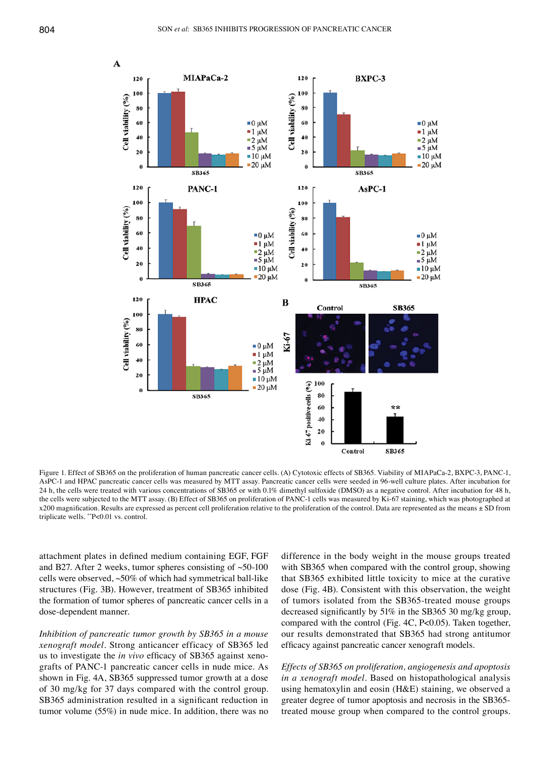

Figure 1. Effect of SB365 on the proliferation of human pancreatic cancer cells. (A) Cytotoxic effects of SB365. Viability of MIAPaCa-2, BXPC-3, PANC-1, AsPC-1 and HPAC pancreatic cancer cells was measured by MTT assay. Pancreatic cancer cells were seeded in 96-well culture plates. After incubation for 24 h, the cells were treated with various concentrations of SB365 or with 0.1% dimethyl sulfoxide (DMSO) as a negative control. After incubation for 48 h, the cells were subjected to the MTT assay. (B) Effect of SB365 on proliferation of PANC-1 cells was measured by Ki-67 staining, which was photographed at x200 magnification. Results are expressed as percent cell proliferation relative to the proliferation of the control. Data are represented as the means ± SD from triplicate wells. \*\*P<0.01 vs. control.

attachment plates in defined medium containing EGF, FGF and B27. After 2 weeks, tumor spheres consisting of  $~50-100$ cells were observed, ~50% of which had symmetrical ball-like structures (Fig. 3B). However, treatment of SB365 inhibited the formation of tumor spheres of pancreatic cancer cells in a dose-dependent manner.

*Inhibition of pancreatic tumor growth by SB365 in a mouse xenograft model.* Strong anticancer efficacy of SB365 led us to investigate the *in vivo* efficacy of SB365 against xenografts of PANC-1 pancreatic cancer cells in nude mice. As shown in Fig. 4A, SB365 suppressed tumor growth at a dose of 30 mg/kg for 37 days compared with the control group. SB365 administration resulted in a significant reduction in tumor volume (55%) in nude mice. In addition, there was no difference in the body weight in the mouse groups treated with SB365 when compared with the control group, showing that SB365 exhibited little toxicity to mice at the curative dose (Fig. 4B). Consistent with this observation, the weight of tumors isolated from the SB365-treated mouse groups decreased significantly by 51% in the SB365 30 mg/kg group, compared with the control (Fig. 4C, P<0.05). Taken together, our results demonstrated that SB365 had strong antitumor efficacy against pancreatic cancer xenograft models.

*Effects of SB365 on proliferation, angiogenesis and apoptosis in a xenograft model.* Based on histopathological analysis using hematoxylin and eosin (H&E) staining, we observed a greater degree of tumor apoptosis and necrosis in the SB365 treated mouse group when compared to the control groups.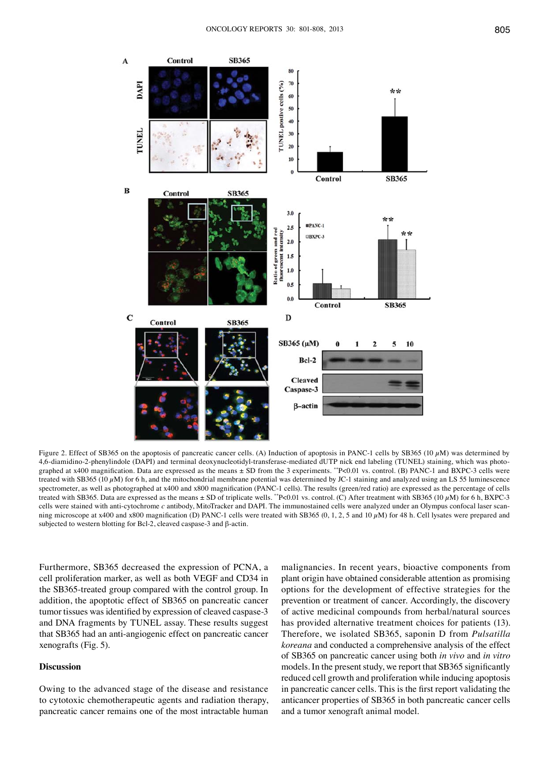

Figure 2. Effect of SB365 on the apoptosis of pancreatic cancer cells. (A) Induction of apoptosis in PANC-1 cells by SB365 (10  $\mu$ M) was determined by 4,6-diamidino-2-phenylindole (DAPI) and terminal deoxynucleotidyl-transferase-mediated dUTP nick end labeling (TUNEL) staining, which was photographed at x400 magnification. Data are expressed as the means ± SD from the 3 experiments. \*\*P<0.01 vs. control. (B) PANC-1 and BXPC-3 cells were treated with SB365 (10  $\mu$ M) for 6 h, and the mitochondrial membrane potential was determined by JC-1 staining and analyzed using an LS 55 luminescence spectrometer, as well as photographed at x400 and x800 magnification (PANC-1 cells). The results (green/red ratio) are expressed as the percentage of cells treated with SB365. Data are expressed as the means  $\pm$  SD of triplicate wells. \*P<0.01 vs. control. (C) After treatment with SB365 (10  $\mu$ M) for 6 h, BXPC-3 cells were stained with anti-cytochrome *c* antibody, MitoTracker and DAPI. The immunostained cells were analyzed under an Olympus confocal laser scanning microscope at x400 and x800 magnification (D) PANC-1 cells were treated with SB365 (0, 1, 2, 5 and 10  $\mu$ M) for 48 h. Cell lysates were prepared and subjected to western blotting for Bcl-2, cleaved caspase-3 and β-actin.

Furthermore, SB365 decreased the expression of PCNA, a cell proliferation marker, as well as both VEGF and CD34 in the SB365-treated group compared with the control group. In addition, the apoptotic effect of SB365 on pancreatic cancer tumor tissues was identified by expression of cleaved caspase-3 and DNA fragments by TUNEL assay. These results suggest that SB365 had an anti-angiogenic effect on pancreatic cancer xenografts (Fig. 5).

## **Discussion**

Owing to the advanced stage of the disease and resistance to cytotoxic chemotherapeutic agents and radiation therapy, pancreatic cancer remains one of the most intractable human

malignancies. In recent years, bioactive components from plant origin have obtained considerable attention as promising options for the development of effective strategies for the prevention or treatment of cancer. Accordingly, the discovery of active medicinal compounds from herbal/natural sources has provided alternative treatment choices for patients (13). Therefore, we isolated SB365, saponin D from *Pulsatilla koreana* and conducted a comprehensive analysis of the effect of SB365 on pancreatic cancer using both *in vivo* and *in vitro* models. In the present study, we report that SB365 significantly reduced cell growth and proliferation while inducing apoptosis in pancreatic cancer cells. This is the first report validating the anticancer properties of SB365 in both pancreatic cancer cells and a tumor xenograft animal model.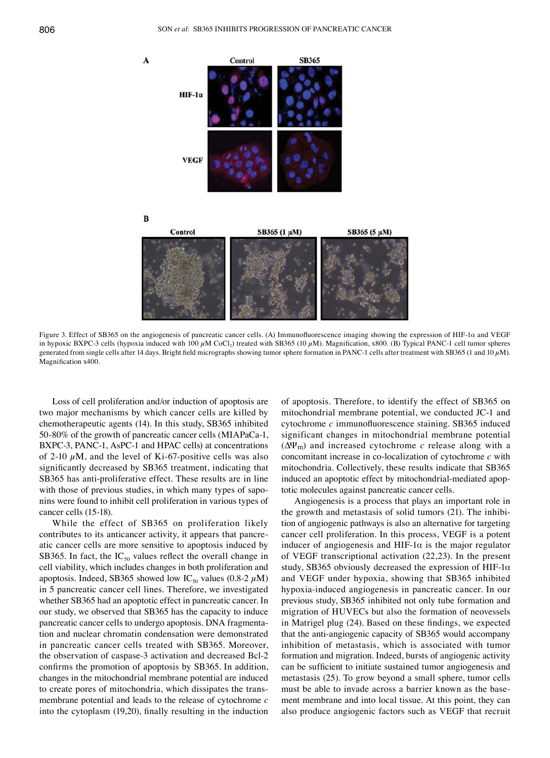



 $\overline{B}$ 



Figure 3. Effect of SB365 on the angiogenesis of pancreatic cancer cells. (A) Immunofluorescence imaging showing the expression of HIF-1α and VEGF in hypoxic BXPC-3 cells (hypoxia induced with 100  $\mu$ M CoCl<sub>2</sub>) treated with SB365 (10  $\mu$ M). Magnification, x800. (B) Typical PANC-1 cell tumor spheres generated from single cells after 14 days. Bright field micrographs showing tumor sphere formation in PANC-1 cells after treatment with SB365 (1 and 10 $\mu$ M). Magnification x400.

Loss of cell proliferation and/or induction of apoptosis are two major mechanisms by which cancer cells are killed by chemotherapeutic agents (14). In this study, SB365 inhibited 50-80% of the growth of pancreatic cancer cells (MIAPaCa-1, BXPC-3, PANC-1, AsPC-1 and HPAC cells) at concentrations of 2-10  $\mu$ M, and the level of Ki-67-positive cells was also significantly decreased by SB365 treatment, indicating that SB365 has anti-proliferative effect. These results are in line with those of previous studies, in which many types of saponins were found to inhibit cell proliferation in various types of cancer cells (15-18).

While the effect of SB365 on proliferation likely contributes to its anticancer activity, it appears that pancreatic cancer cells are more sensitive to apoptosis induced by SB365. In fact, the  $IC_{50}$  values reflect the overall change in cell viability, which includes changes in both proliferation and apoptosis. Indeed, SB365 showed low IC<sub>50</sub> values (0.8-2  $\mu$ M) in 5 pancreatic cancer cell lines. Therefore, we investigated whether SB365 had an apoptotic effect in pancreatic cancer. In our study, we observed that SB365 has the capacity to induce pancreatic cancer cells to undergo apoptosis. DNA fragmentation and nuclear chromatin condensation were demonstrated in pancreatic cancer cells treated with SB365. Moreover, the observation of caspase-3 activation and decreased Bcl-2 confirms the promotion of apoptosis by SB365. In addition, changes in the mitochondrial membrane potential are induced to create pores of mitochondria, which dissipates the transmembrane potential and leads to the release of cytochrome *c* into the cytoplasm (19,20), finally resulting in the induction of apoptosis. Therefore, to identify the effect of SB365 on mitochondrial membrane potential, we conducted JC-1 and cytochrome *c* immunofluorescence staining. SB365 induced significant changes in mitochondrial membrane potential (∆Ψm) and increased cytochrome *c* release along with a concomitant increase in co-localization of cytochrome *c* with mitochondria. Collectively, these results indicate that SB365 induced an apoptotic effect by mitochondrial-mediated apoptotic molecules against pancreatic cancer cells.

Angiogenesis is a process that plays an important role in the growth and metastasis of solid tumors (21). The inhibition of angiogenic pathways is also an alternative for targeting cancer cell proliferation. In this process, VEGF is a potent inducer of angiogenesis and HIF-1 $\alpha$  is the major regulator of VEGF transcriptional activation (22,23). In the present study, SB365 obviously decreased the expression of HIF-1 $\alpha$ and VEGF under hypoxia, showing that SB365 inhibited hypoxia-induced angiogenesis in pancreatic cancer. In our previous study, SB365 inhibited not only tube formation and migration of HUVECs but also the formation of neovessels in Matrigel plug (24). Based on these findings, we expected that the anti-angiogenic capacity of SB365 would accompany inhibition of metastasis, which is associated with tumor formation and migration. Indeed, bursts of angiogenic activity can be sufficient to initiate sustained tumor angiogenesis and metastasis (25). To grow beyond a small sphere, tumor cells must be able to invade across a barrier known as the basement membrane and into local tissue. At this point, they can also produce angiogenic factors such as VEGF that recruit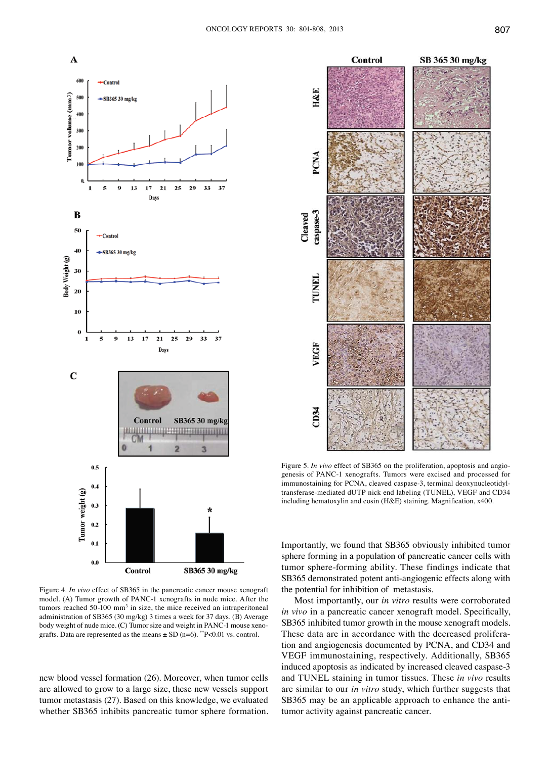

Figure 4. *In vivo* effect of SB365 in the pancreatic cancer mouse xenograft model. (A) Tumor growth of PANC-1 xenografts in nude mice. After the tumors reached  $50-100$  mm<sup>3</sup> in size, the mice received an intraperitoneal administration of SB365 (30 mg/kg) 3 times a week for 37 days. (B) Average body weight of nude mice. (C) Tumor size and weight in PANC-1 mouse xenografts. Data are represented as the means  $\pm$  SD (n=6). \*\*P<0.01 vs. control.

new blood vessel formation (26). Moreover, when tumor cells are allowed to grow to a large size, these new vessels support tumor metastasis (27). Based on this knowledge, we evaluated whether SB365 inhibits pancreatic tumor sphere formation.



Figure 5. *In vivo* effect of SB365 on the proliferation, apoptosis and angiogenesis of PANC-1 xenografts. Tumors were excised and processed for immunostaining for PCNA, cleaved caspase-3, terminal deoxynucleotidyltransferase-mediated dUTP nick end labeling (TUNEL), VEGF and CD34 including hematoxylin and eosin (H&E) staining. Magnification, x400.

Importantly, we found that SB365 obviously inhibited tumor sphere forming in a population of pancreatic cancer cells with tumor sphere-forming ability. These findings indicate that SB365 demonstrated potent anti-angiogenic effects along with the potential for inhibition of metastasis.

Most importantly, our *in vitro* results were corroborated *in vivo* in a pancreatic cancer xenograft model. Specifically, SB365 inhibited tumor growth in the mouse xenograft models. These data are in accordance with the decreased proliferation and angiogenesis documented by PCNA, and CD34 and VEGF immunostaining, respectively. Additionally, SB365 induced apoptosis as indicated by increased cleaved caspase-3 and TUNEL staining in tumor tissues. These *in vivo* results are similar to our *in vitro* study, which further suggests that SB365 may be an applicable approach to enhance the antitumor activity against pancreatic cancer.